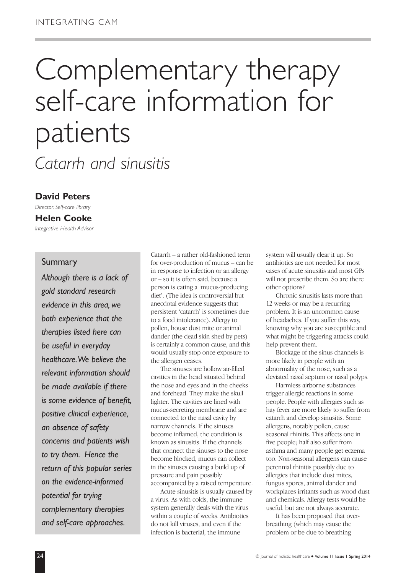# Complementary therapy self-care information for patients

*Catarrh and sinusitis*

#### **David Peters**

*Director, Self-care library* **Helen Cooke** *Integrative Health Advisor*

#### Summary

*Although there is a lack of gold standard research evidence in this area, we both experience that the therapies listed here can be useful in everyday healthcare.We believe the relevant information should be made available if there is some evidence of benefit, positive clinical experience, an absence of safety concerns and patients wish to try them. Hence the return of this popular series on the evidence-informed potential for trying complementary therapies and self-care approaches.*

Catarrh – a rather old-fashioned term for over-production of mucus – can be in response to infection or an allergy or – so it is often said, because a person is eating a 'mucus-producing diet'. (The idea is controversial but anecdotal evidence suggests that persistent 'catarrh' is sometimes due to a food intolerance). Allergy to pollen, house dust mite or animal dander (the dead skin shed by pets) is certainly a common cause, and this would usually stop once exposure to the allergen ceases.

The sinuses are hollow air-filled cavities in the head situated behind the nose and eyes and in the cheeks and forehead. They make the skull lighter. The cavities are lined with mucus-secreting membrane and are connected to the nasal cavity by narrow channels. If the sinuses become inflamed, the condition is known as sinusitis. If the channels that connect the sinuses to the nose become blocked, mucus can collect in the sinuses causing a build up of pressure and pain possibly accompanied by a raised temperature.

Acute sinusitis is usually caused by a virus. As with colds, the immune system generally deals with the virus within a couple of weeks. Antibiotics do not kill viruses, and even if the infection is bacterial, the immune

system will usually clear it up. So antibiotics are not needed for most cases of acute sinusitis and most GPs will not prescribe them. So are there other options?

Chronic sinusitis lasts more than 12 weeks or may be a recurring problem. It is an uncommon cause of headaches. If you suffer this way, knowing why you are susceptible and what might be triggering attacks could help prevent them.

Blockage of the sinus channels is more likely in people with an abnormality of the nose, such as a deviated nasal septum or nasal polyps.

Harmless airborne substances trigger allergic reactions in some people. People with allergies such as hay fever are more likely to suffer from catarrh and develop sinusitis. Some allergens, notably pollen, cause seasonal rhinitis. This affects one in five people; half also suffer from asthma and many people get eczema too. Non-seasonal allergens can cause perennial rhinitis possibly due to allergies that include dust mites, fungus spores, animal dander and workplaces irritants such as wood dust and chemicals. Allergy tests would be useful, but are not always accurate.

It has been proposed that overbreathing (which may cause the problem or be due to breathing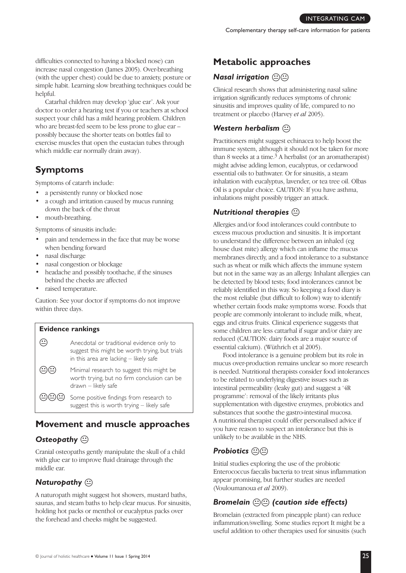difficulties connected to having a blocked nose) can increase nasal congestion (James 2005). Over-breathing (with the upper chest) could be due to anxiety, posture or simple habit. Learning slow breathing techniques could be helpful.

Catarhal children may develop 'glue ear'. Ask your doctor to order a hearing test if you or teachers at school suspect your child has a mild hearing problem. Children who are breast-fed seem to be less prone to glue ear – possibly because the shorter teats on bottles fail to exercise muscles that open the eustacian tubes through which middle ear normally drain away).

# **Symptoms**

Symptoms of catarrh include:

- a persistently runny or blocked nose
- a cough and irritation caused by mucus running down the back of the throat
- mouth-breathing.

Symptoms of sinusitis include:

- pain and tenderness in the face that may be worse when bending forward
- nasal discharge
- nasal congestion or blockage
- headache and possibly toothache, if the sinuses behind the cheeks are affected
- raised temperature.

Caution: See your doctor if symptoms do not improve within three days.



# **Movement and muscle approaches**

#### **Osteopathy**  $\circledcirc$

Cranial osteopaths gently manipulate the skull of a child with glue ear to improve fluid drainage through the middle ear.

## **Naturopathy**  $\odot$

A naturopath might suggest hot showers, mustard baths, saunas, and steam baths to help clear mucus. For sinusitis, holding hot packs or menthol or eucalyptus packs over the forehead and cheeks might be suggested.

# **Metabolic approaches**

# *Nasal irrigation*  $\circledcirc$

Clinical research shows that administering nasal saline irrigation significantly reduces symptoms of chronic sinusitis and improves quality of life, compared to no treatment or placebo (Harvey *et al* 2005).

#### **Western herbalism**  $\circled{c}$

Practitioners might suggest echinacea to help boost the immune system, although it should not be taken for more than 8 weeks at a time. 3 A herbalist (or an aromatherapist) might advise adding lemon, eucalyptus, or cedarwood essential oils to bathwater. Or for sinusitis, a steam inhalation with eucalyptus, lavender, or tea tree oil. Olbas Oil is a popular choice. CAUTION: If you have asthma, inhalations might possibly trigger an attack.

# *Nutritional therapies* K

Allergies and/or food intolerances could contribute to excess mucous production and sinusitis. It is important to understand the difference between an inhaled (eg house dust mite) allergy which can inflame the mucus membranes directly, and a food intolerance to a substance such as wheat or milk which affects the immune system but not in the same way as an allergy. Inhalant allergies can be detected by blood tests; food intolerances cannot be reliably identified in this way. So keeping a food diary is the most reliable (but difficult to follow) way to identify whether certain foods make symptoms worse. Foods that people are commonly intolerant to include milk, wheat, eggs and citrus fruits. Clinical experience suggests that some children are less cattarhal if sugar and/or dairy are reduced (CAUTION: dairy foods are a major source of essential calcium). (Wüthrich et al 2005).

Food intolerance is a genuine problem but its role in mucus over-production remains unclear so more research is needed. Nutritional therapists consider food intolerances to be related to underlying digestive issues such as intestinal permeability (leaky gut) and suggest a '4R programme': removal of the likely irritants plus supplementation with digestive enzymes, probiotics and substances that soothe the gastro-intestinal mucosa. A nutritional therapist could offer personalised advice if you have reason to suspect an intolerance but this is unlikely to be available in the NHS.

## **Probiotics**  $\textcircled{r}$

Initial studies exploring the use of the probiotic Enterococcus faecalis bacteria to treat sinus inflammation appear promising, but further studies are needed (Vouloumanoua *et al* 2009).

## *Bromelain* KK *(caution side effects)*

Bromelain (extracted from pineapple plant) can reduce inflammation/swelling. Some studies report It might be a useful addition to other therapies used for sinusitis (such